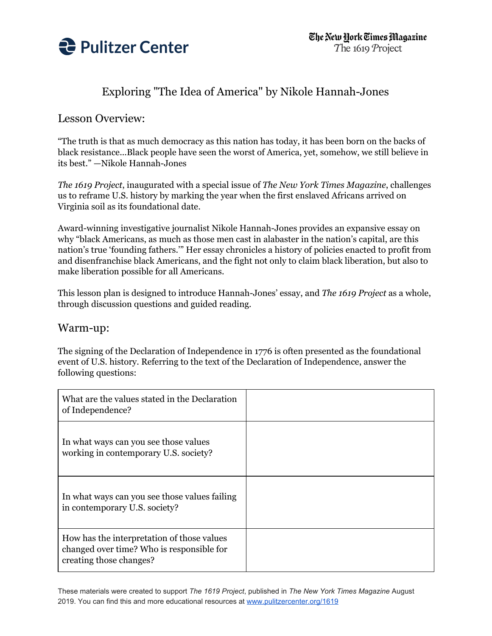

## Exploring "The Idea of America" by Nikole Hannah-Jones

### Lesson Overview:

"The truth is that as much democracy as this nation has today, it has been born on the backs of black resistance...Black people have seen the worst of America, yet, somehow, we still believe in its best." —Nikole Hannah-Jones

*The 1619 Project*, inaugurated with a special issue of *The New York Times Magazine*, challenges us to reframe U.S. history by marking the year when the first enslaved Africans arrived on Virginia soil as its foundational date.

Award-winning investigative journalist Nikole Hannah-Jones provides an expansive essay on why "black Americans, as much as those men cast in alabaster in the nation's capital, are this nation's true 'founding fathers.'" Her essay chronicles a history of policies enacted to profit from and disenfranchise black Americans, and the fight not only to claim black liberation, but also to make liberation possible for all Americans.

This lesson plan is designed to introduce Hannah-Jones' essay, and *The 1619 Project* as a whole, through discussion questions and guided reading.

#### Warm-up:

The signing of the Declaration of Independence in 1776 is often presented as the foundational event of U.S. history. Referring to the text of the Declaration of Independence, answer the following questions:

| What are the values stated in the Declaration<br>of Independence?                                                  |  |
|--------------------------------------------------------------------------------------------------------------------|--|
| In what ways can you see those values<br>working in contemporary U.S. society?                                     |  |
| In what ways can you see those values failing<br>in contemporary U.S. society?                                     |  |
| How has the interpretation of those values<br>changed over time? Who is responsible for<br>creating those changes? |  |

These materials were created to support *The 1619 Project*, published in *The New York Times Magazine* August 2019. You can find this and more educational resources at [www.pulitzercenter.org/1619](http://www.pulitzercenter.org/1619)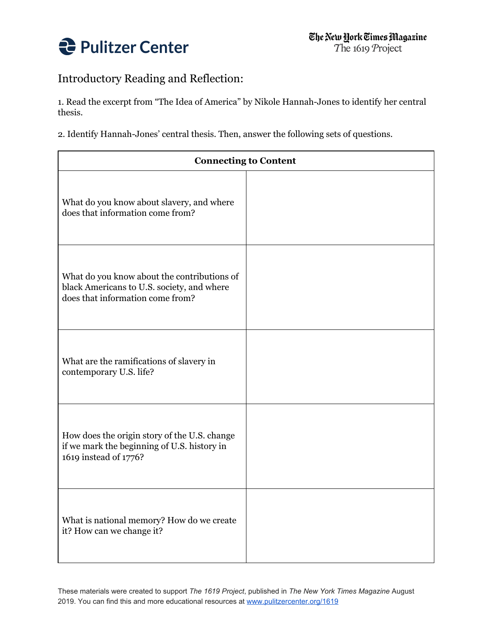

# Introductory Reading and Reflection:

1. Read the excerpt from "The Idea of America" by Nikole Hannah-Jones to identify her central thesis.

2. Identify Hannah-Jones' central thesis. Then, answer the following sets of questions.

| <b>Connecting to Content</b>                                                                                                  |  |
|-------------------------------------------------------------------------------------------------------------------------------|--|
| What do you know about slavery, and where<br>does that information come from?                                                 |  |
| What do you know about the contributions of<br>black Americans to U.S. society, and where<br>does that information come from? |  |
| What are the ramifications of slavery in<br>contemporary U.S. life?                                                           |  |
| How does the origin story of the U.S. change<br>if we mark the beginning of U.S. history in<br>1619 instead of 1776?          |  |
| What is national memory? How do we create<br>it? How can we change it?                                                        |  |

These materials were created to support *The 1619 Project*, published in *The New York Times Magazine* August 2019. You can find this and more educational resources at [www.pulitzercenter.org/1619](http://www.pulitzercenter.org/1619)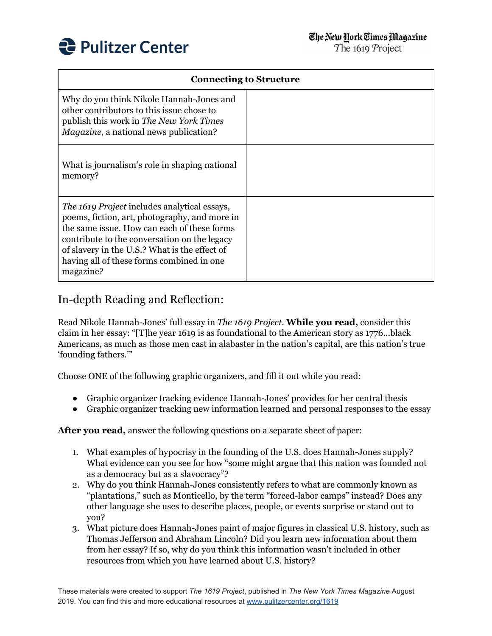

| <b>Connecting to Structure</b>                                                                                                                                                                                                                                                                          |  |
|---------------------------------------------------------------------------------------------------------------------------------------------------------------------------------------------------------------------------------------------------------------------------------------------------------|--|
| Why do you think Nikole Hannah-Jones and<br>other contributors to this issue chose to<br>publish this work in The New York Times<br><i>Magazine</i> , a national news publication?                                                                                                                      |  |
| What is journalism's role in shaping national<br>memory?                                                                                                                                                                                                                                                |  |
| The 1619 Project includes analytical essays,<br>poems, fiction, art, photography, and more in<br>the same issue. How can each of these forms<br>contribute to the conversation on the legacy<br>of slavery in the U.S.? What is the effect of<br>having all of these forms combined in one<br>magazine? |  |

### In-depth Reading and Reflection:

Read Nikole Hannah-Jones' full essay in *The 1619 Project*. **While you read,** consider this claim in her essay: "[T]he year 1619 is as foundational to the American story as 1776...black Americans, as much as those men cast in alabaster in the nation's capital, are this nation's true 'founding fathers.'"

Choose ONE of the following graphic organizers, and fill it out while you read:

- Graphic organizer tracking evidence Hannah-Jones' provides for her central thesis
- Graphic organizer tracking new information learned and personal responses to the essay

**After you read,** answer the following questions on a separate sheet of paper:

- 1. What examples of hypocrisy in the founding of the U.S. does Hannah-Jones supply? What evidence can you see for how "some might argue that this nation was founded not as a democracy but as a slavocracy"?
- 2. Why do you think Hannah-Jones consistently refers to what are commonly known as "plantations," such as Monticello, by the term "forced-labor camps" instead? Does any other language she uses to describe places, people, or events surprise or stand out to you?
- 3. What picture does Hannah-Jones paint of major figures in classical U.S. history, such as Thomas Jefferson and Abraham Lincoln? Did you learn new information about them from her essay? If so, why do you think this information wasn't included in other resources from which you have learned about U.S. history?